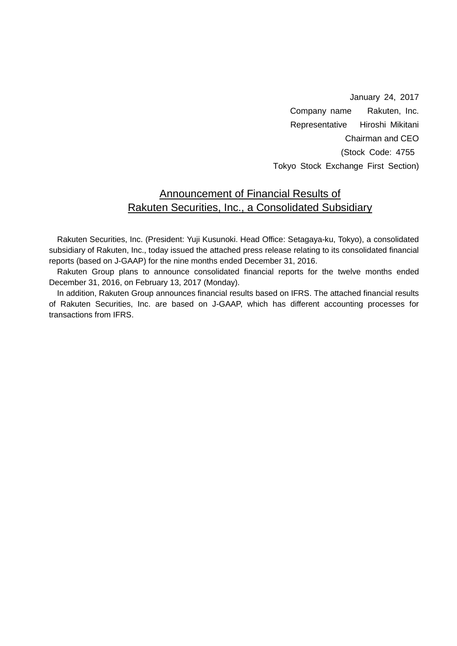January 24, 2017 Company name Rakuten, Inc. Representative Hiroshi Mikitani Chairman and CEO (Stock Code: 4755 Tokyo Stock Exchange First Section)

### Announcement of Financial Results of Rakuten Securities, Inc., a Consolidated Subsidiary

Rakuten Securities, Inc. (President: Yuji Kusunoki. Head Office: Setagaya-ku, Tokyo), a consolidated subsidiary of Rakuten, Inc., today issued the attached press release relating to its consolidated financial reports (based on J-GAAP) for the nine months ended December 31, 2016.

Rakuten Group plans to announce consolidated financial reports for the twelve months ended December 31, 2016, on February 13, 2017 (Monday).

In addition, Rakuten Group announces financial results based on IFRS. The attached financial results of Rakuten Securities, Inc. are based on J-GAAP, which has different accounting processes for transactions from IFRS.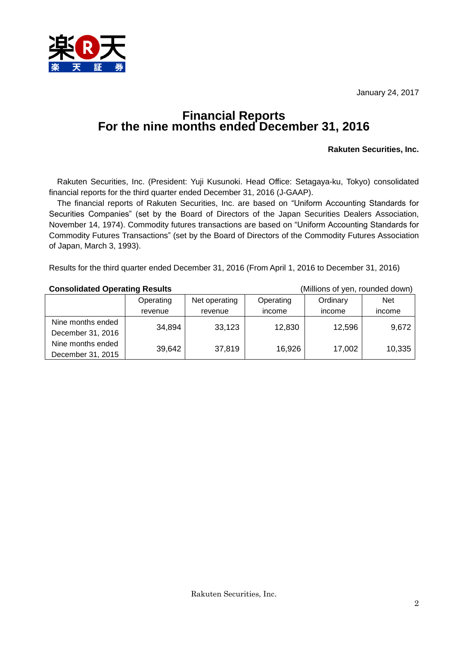January 24, 2017



### **Financial Reports For the nine months ended December 31, 2016**

#### **Rakuten Securities, Inc.**

Rakuten Securities, Inc. (President: Yuji Kusunoki. Head Office: Setagaya-ku, Tokyo) consolidated financial reports for the third quarter ended December 31, 2016 (J-GAAP).

The financial reports of Rakuten Securities, Inc. are based on "Uniform Accounting Standards for Securities Companies" (set by the Board of Directors of the Japan Securities Dealers Association, November 14, 1974). Commodity futures transactions are based on "Uniform Accounting Standards for Commodity Futures Transactions" (set by the Board of Directors of the Commodity Futures Association of Japan, March 3, 1993).

Results for the third quarter ended December 31, 2016 (From April 1, 2016 to December 31, 2016)

#### **Consolidated Operating Results** (Millions of yen, rounded down)

|                   | Operating | Net operating | Operating | Ordinary | <b>Net</b> |
|-------------------|-----------|---------------|-----------|----------|------------|
|                   | revenue   | revenue       | income    | income   | income     |
| Nine months ended | 34,894    | 33,123        | 12,830    | 12,596   |            |
| December 31, 2016 |           |               |           |          | 9,672      |
| Nine months ended |           |               |           |          |            |
| December 31, 2015 | 39,642    | 37,819        | 16,926    | 17,002   | 10,335     |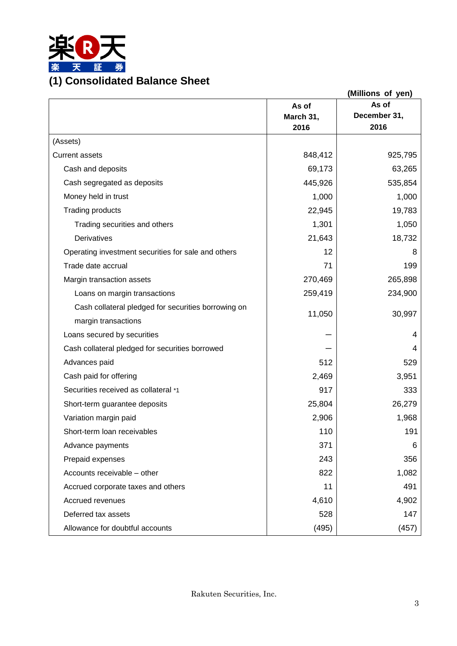

|                                                     |                            | (Millions of yen)             |
|-----------------------------------------------------|----------------------------|-------------------------------|
|                                                     | As of<br>March 31,<br>2016 | As of<br>December 31,<br>2016 |
| (Assets)                                            |                            |                               |
| <b>Current assets</b>                               | 848,412                    | 925,795                       |
| Cash and deposits                                   | 69,173                     | 63,265                        |
| Cash segregated as deposits                         | 445,926                    | 535,854                       |
| Money held in trust                                 | 1,000                      | 1,000                         |
| <b>Trading products</b>                             | 22,945                     | 19,783                        |
| Trading securities and others                       | 1,301                      | 1,050                         |
| Derivatives                                         | 21,643                     | 18,732                        |
| Operating investment securities for sale and others | 12                         | 8                             |
| Trade date accrual                                  | 71                         | 199                           |
| Margin transaction assets                           | 270,469                    | 265,898                       |
| Loans on margin transactions                        | 259,419                    | 234,900                       |
| Cash collateral pledged for securities borrowing on |                            |                               |
| margin transactions                                 | 11,050                     | 30,997                        |
| Loans secured by securities                         |                            | 4                             |
| Cash collateral pledged for securities borrowed     |                            | 4                             |
| Advances paid                                       | 512                        | 529                           |
| Cash paid for offering                              | 2,469                      | 3,951                         |
| Securities received as collateral *1                | 917                        | 333                           |
| Short-term guarantee deposits                       | 25,804                     | 26,279                        |
| Variation margin paid                               | 2,906                      | 1,968                         |
| Short-term loan receivables                         | 110                        | 191                           |
| Advance payments                                    | 371                        | 6                             |
| Prepaid expenses                                    | 243                        | 356                           |
| Accounts receivable - other                         | 822                        | 1,082                         |
| Accrued corporate taxes and others                  | 11                         | 491                           |
| Accrued revenues                                    | 4,610                      | 4,902                         |
| Deferred tax assets                                 | 528                        | 147                           |
| Allowance for doubtful accounts                     | (495)                      | (457)                         |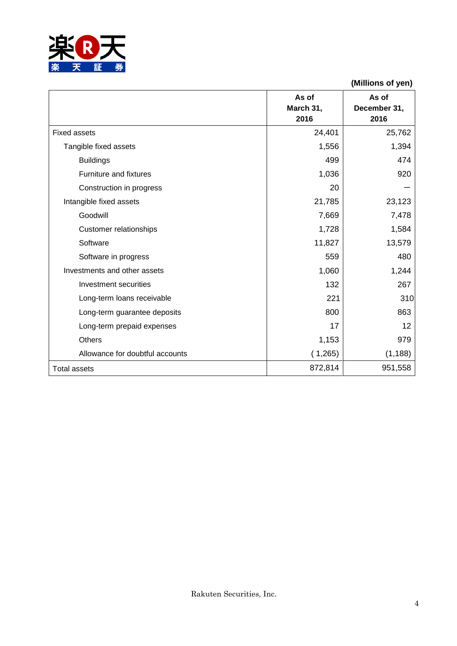

**As of March 31, 2016 As of December 31, 2016** Fixed assets 25,762 Tangible fixed assets 1,394 Buildings 499 474 Furniture and fixtures 1,036 920 Construction in progress 20 Intangible fixed assets  $\begin{array}{ccc} \vert & 21,785 \end{array}$  23,123 Goodwill 7,669 7,478 Customer relationships 1,728 1,584 Software 13,579 13,579 Software in progress and the set of the set of the set of the set of the set of the set of the set of the set of the set of the set of the set of the set of the set of the set of the set of the set of the set of the set of Investments and other assets  $1,060$  |  $1,244$ Investment securities 132 267 Long-term loans receivable 221 310 Long-term guarantee deposits and the set of the set of the set of the set of the set of the set of the set of the set of the set of the set of the set of the set of the set of the set of the set of the set of the set of th

Long-term prepaid expenses 17 12 Others 1,153 979 Allowance for doubtful accounts (1,265) (1,188)

Total assets 872,814 951,558

**(Millions of yen)**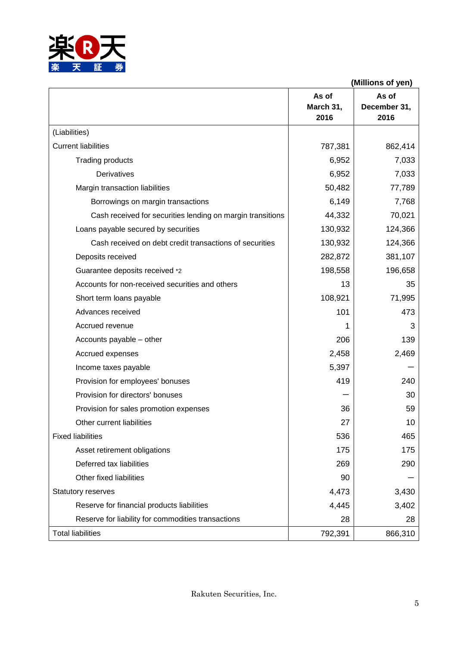

 **(Millions of yen) As of March 31, 2016 As of December 31, 2016** (Liabilities) Current liabilities 262,414 Trading products 6,952 7,033 Derivatives 6,952 7,033 Margin transaction liabilities 1990 100 mm  $\sim$  50,482  $\sim$  77,789 Borrowings on margin transactions 6,149 [201] 6,149 [201]  $\qquad \qquad$  7,768 Cash received for securities lending on margin transitions | 44,332 | 70,021 Loans payable secured by securities 130,932 130,932 Cash received on debt credit transactions of securities  $\vert$  130,932 124,366 Deposits received 282,872 381,107 Guarantee deposits received \*2 198,558 196,658 Accounts for non-received securities and others 13 13 35 Short term loans payable 108,921 71,995 Advances received the contract of the contract of the contract of the contract of the contract of the contract of the contract of the contract of the contract of the contract of the contract of the contract of the contract Accrued revenue  $\begin{array}{ccc} 3 & 3 \\ 3 & 3 \end{array}$ Accounts payable – other 206 139 Accrued expenses 2,458 2,469 Income taxes payable  $\sim$  5,397 Provision for employees' bonuses and the set of the 419 and 419 and 419 and 419 and 419 and 419 and 419 and 41 Provision for directors' bonuses  $-$  30 Provision for sales promotion expenses 36 36 Other current liabilities 10 Fixed liabilities 465 Asset retirement obligations 175 175 Deferred tax liabilities 290 290 Other fixed liabilities and the set of the set of the set of the set of the set of the set of the set of the set of the set of the set of the set of the set of the set of the set of the set of the set of the set of the set Statutory reserves and the statutory reserves and the statutory reserves and the statutory reserves and the statutory reserves and the statutory reserves and the statutory reserves and the statutory reserves and the statut Reserve for financial products liabilities  $4,445$  4,445  $3,402$ Reserve for liability for commodities transactions 28 28 Total liabilities 792,391 866,310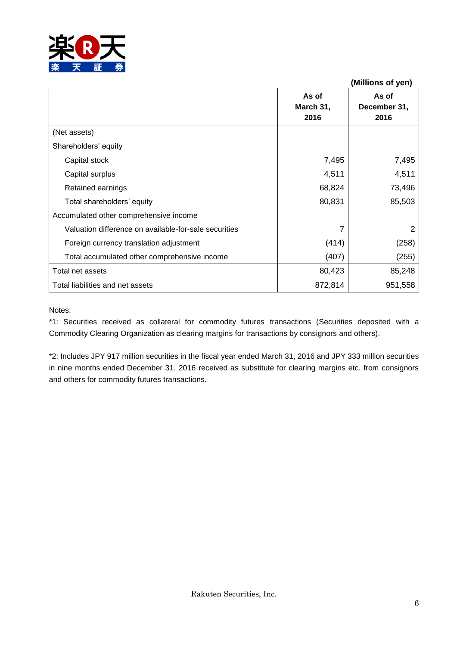

|                                                       |                            | (Millions of yen)             |
|-------------------------------------------------------|----------------------------|-------------------------------|
|                                                       | As of<br>March 31,<br>2016 | As of<br>December 31,<br>2016 |
| (Net assets)                                          |                            |                               |
| Shareholders' equity                                  |                            |                               |
| Capital stock                                         | 7,495                      | 7,495                         |
| Capital surplus                                       | 4,511                      | 4,511                         |
| Retained earnings                                     | 68,824                     | 73,496                        |
| Total shareholders' equity                            | 80,831                     | 85,503                        |
| Accumulated other comprehensive income                |                            |                               |
| Valuation difference on available-for-sale securities |                            | 2                             |
| Foreign currency translation adjustment               | (414)                      | (258)                         |
| Total accumulated other comprehensive income          | (407)                      | (255)                         |
| Total net assets                                      | 80,423                     | 85,248                        |
| Total liabilities and net assets                      | 872,814                    | 951,558                       |

#### Notes:

\*1: Securities received as collateral for commodity futures transactions (Securities deposited with a Commodity Clearing Organization as clearing margins for transactions by consignors and others).

\*2: Includes JPY 917 million securities in the fiscal year ended March 31, 2016 and JPY 333 million securities in nine months ended December 31, 2016 received as substitute for clearing margins etc. from consignors and others for commodity futures transactions.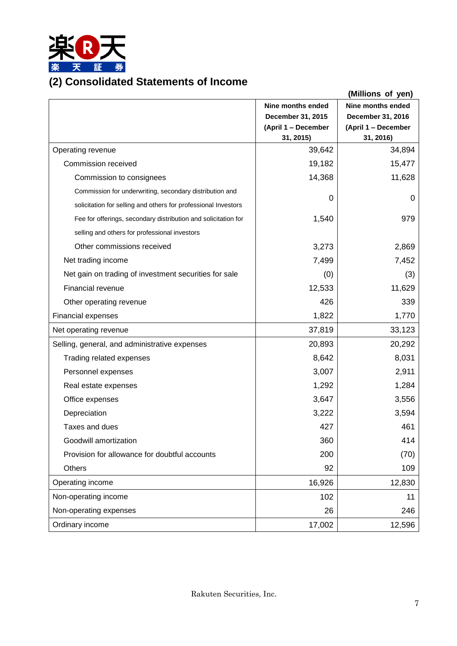

## **(2) Consolidated Statements of Income**

|                                                                |                     | (Millions of yen)        |
|----------------------------------------------------------------|---------------------|--------------------------|
|                                                                | Nine months ended   | <b>Nine months ended</b> |
|                                                                | December 31, 2015   | December 31, 2016        |
|                                                                | (April 1 - December | (April 1 - December      |
|                                                                | 31, 2015)           | 31, 2016)                |
| Operating revenue                                              | 39,642              | 34,894                   |
| Commission received                                            | 19,182              | 15,477                   |
| Commission to consignees                                       | 14,368              | 11,628                   |
| Commission for underwriting, secondary distribution and        | 0                   | 0                        |
| solicitation for selling and others for professional Investors |                     |                          |
| Fee for offerings, secondary distribution and solicitation for | 1,540               | 979                      |
| selling and others for professional investors                  |                     |                          |
| Other commissions received                                     | 3,273               | 2,869                    |
| Net trading income                                             | 7,499               | 7,452                    |
| Net gain on trading of investment securities for sale          | (0)                 | (3)                      |
| Financial revenue                                              | 12,533              | 11,629                   |
| Other operating revenue                                        | 426                 | 339                      |
| <b>Financial expenses</b>                                      | 1,822               | 1,770                    |
| Net operating revenue                                          | 37,819              | 33,123                   |
| Selling, general, and administrative expenses                  | 20,893              | 20,292                   |
| Trading related expenses                                       | 8,642               | 8,031                    |
| Personnel expenses                                             | 3,007               | 2,911                    |
| Real estate expenses                                           | 1,292               | 1,284                    |
| Office expenses                                                | 3,647               | 3,556                    |
| Depreciation                                                   | 3,222               | 3,594                    |
| Taxes and dues                                                 | 427                 | 461                      |
| Goodwill amortization                                          | 360                 | 414                      |
| Provision for allowance for doubtful accounts                  | 200                 | (70)                     |
| Others                                                         | 92                  | 109                      |
| Operating income                                               | 16,926              | 12,830                   |
| Non-operating income                                           | 102                 | 11                       |
| Non-operating expenses                                         | 26                  | 246                      |
| Ordinary income                                                | 17,002              | 12,596                   |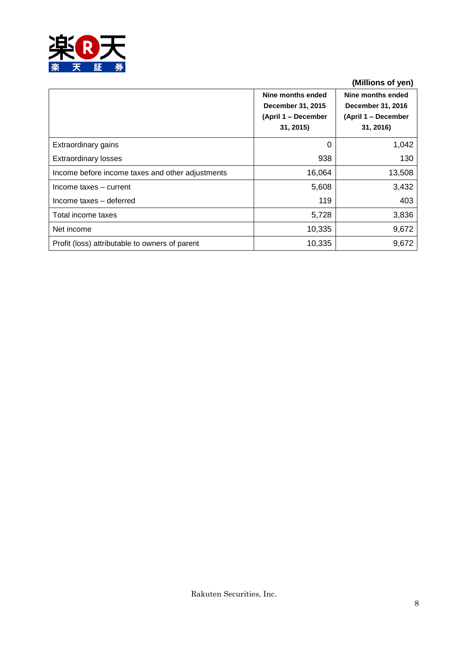

### **(Millions of yen)**

|                                                  | Nine months ended<br>December 31, 2015<br>(April 1 – December<br>31, 2015) | Nine months ended<br>December 31, 2016<br>(April 1 – December<br>31, 2016) |
|--------------------------------------------------|----------------------------------------------------------------------------|----------------------------------------------------------------------------|
| Extraordinary gains                              | 0                                                                          | 1,042                                                                      |
| <b>Extraordinary losses</b>                      | 938                                                                        | 130                                                                        |
| Income before income taxes and other adjustments | 16,064                                                                     | 13,508                                                                     |
| Income taxes - current                           | 5,608                                                                      | 3,432                                                                      |
| Income taxes - deferred                          | 119                                                                        | 403                                                                        |
| Total income taxes                               | 5,728                                                                      | 3,836                                                                      |
| Net income                                       | 10,335                                                                     | 9,672                                                                      |
| Profit (loss) attributable to owners of parent   | 10,335                                                                     | 9,672                                                                      |